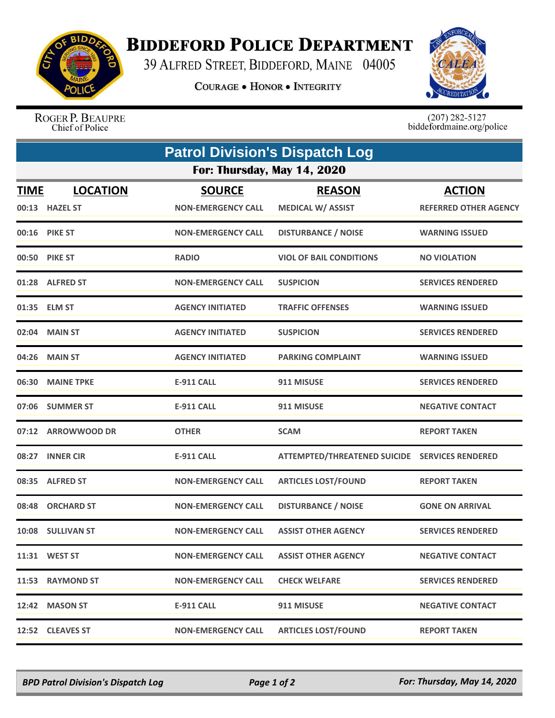

## **BIDDEFORD POLICE DEPARTMENT**

39 ALFRED STREET, BIDDEFORD, MAINE 04005

**COURAGE . HONOR . INTEGRITY** 



ROGER P. BEAUPRE Chief of Police

 $(207)$  282-5127<br>biddefordmaine.org/police

|                             | <b>Patrol Division's Dispatch Log</b> |                           |                                                |                              |  |  |  |
|-----------------------------|---------------------------------------|---------------------------|------------------------------------------------|------------------------------|--|--|--|
| For: Thursday, May 14, 2020 |                                       |                           |                                                |                              |  |  |  |
| <b>TIME</b>                 | <b>LOCATION</b>                       | <b>SOURCE</b>             | <b>REASON</b>                                  | <b>ACTION</b>                |  |  |  |
|                             | 00:13 HAZEL ST                        | <b>NON-EMERGENCY CALL</b> | <b>MEDICAL W/ ASSIST</b>                       | <b>REFERRED OTHER AGENCY</b> |  |  |  |
|                             | 00:16 PIKE ST                         | <b>NON-EMERGENCY CALL</b> | <b>DISTURBANCE / NOISE</b>                     | <b>WARNING ISSUED</b>        |  |  |  |
|                             | 00:50 PIKE ST                         | <b>RADIO</b>              | <b>VIOL OF BAIL CONDITIONS</b>                 | <b>NO VIOLATION</b>          |  |  |  |
|                             | 01:28 ALFRED ST                       | <b>NON-EMERGENCY CALL</b> | <b>SUSPICION</b>                               | <b>SERVICES RENDERED</b>     |  |  |  |
|                             | 01:35 ELM ST                          | <b>AGENCY INITIATED</b>   | <b>TRAFFIC OFFENSES</b>                        | <b>WARNING ISSUED</b>        |  |  |  |
|                             | 02:04 MAIN ST                         | <b>AGENCY INITIATED</b>   | <b>SUSPICION</b>                               | <b>SERVICES RENDERED</b>     |  |  |  |
|                             | 04:26 MAIN ST                         | <b>AGENCY INITIATED</b>   | <b>PARKING COMPLAINT</b>                       | <b>WARNING ISSUED</b>        |  |  |  |
| 06:30                       | <b>MAINE TPKE</b>                     | <b>E-911 CALL</b>         | 911 MISUSE                                     | <b>SERVICES RENDERED</b>     |  |  |  |
|                             | 07:06 SUMMER ST                       | <b>E-911 CALL</b>         | 911 MISUSE                                     | <b>NEGATIVE CONTACT</b>      |  |  |  |
|                             | 07:12 ARROWWOOD DR                    | <b>OTHER</b>              | <b>SCAM</b>                                    | <b>REPORT TAKEN</b>          |  |  |  |
| 08:27                       | <b>INNER CIR</b>                      | <b>E-911 CALL</b>         | ATTEMPTED/THREATENED SUICIDE SERVICES RENDERED |                              |  |  |  |
|                             | 08:35 ALFRED ST                       | <b>NON-EMERGENCY CALL</b> | <b>ARTICLES LOST/FOUND</b>                     | <b>REPORT TAKEN</b>          |  |  |  |
|                             | 08:48 ORCHARD ST                      | <b>NON-EMERGENCY CALL</b> | <b>DISTURBANCE / NOISE</b>                     | <b>GONE ON ARRIVAL</b>       |  |  |  |
|                             | 10:08 SULLIVAN ST                     | <b>NON-EMERGENCY CALL</b> | <b>ASSIST OTHER AGENCY</b>                     | <b>SERVICES RENDERED</b>     |  |  |  |
|                             | 11:31 WEST ST                         | <b>NON-EMERGENCY CALL</b> | <b>ASSIST OTHER AGENCY</b>                     | <b>NEGATIVE CONTACT</b>      |  |  |  |
|                             | 11:53 RAYMOND ST                      | <b>NON-EMERGENCY CALL</b> | <b>CHECK WELFARE</b>                           | <b>SERVICES RENDERED</b>     |  |  |  |
|                             | 12:42 MASON ST                        | <b>E-911 CALL</b>         | 911 MISUSE                                     | <b>NEGATIVE CONTACT</b>      |  |  |  |
|                             | 12:52 CLEAVES ST                      | <b>NON-EMERGENCY CALL</b> | <b>ARTICLES LOST/FOUND</b>                     | <b>REPORT TAKEN</b>          |  |  |  |